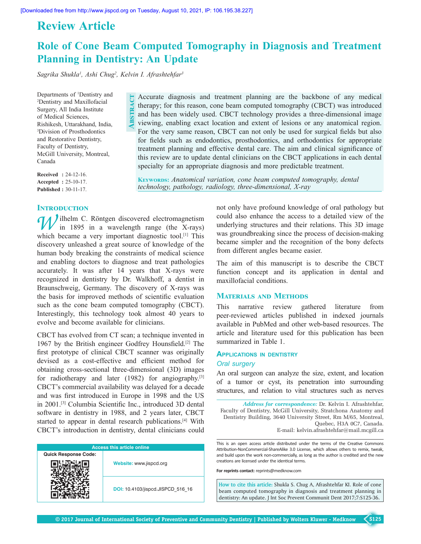## **Review Article**

# **Role of Cone Beam Computed Tomography in Diagnosis and Treatment Planning in Dentistry: An Update**

*Sagrika Shukla<sup>1</sup> , Ashi Chug<sup>2</sup> , Kelvin I. Afrashtehfar<sup>3</sup>*

Departments of <sup>1</sup>Dentistry and <sup>2</sup>Dentistry and Maxillofacial Surgery, All India Institute of Medical Sciences, Rishikesh, Uttarakhand, India, <sup>3</sup>Division of Prosthodontics and Restorative Dentistry, Faculty of Dentistry, McGill University, Montreal, Canada

**Received :** 24‑12‑16. **Accepted :** 25‑10‑17. **Published :** 30‑11‑17.

## **INTRODUCTION**

Accurate diagnosis and treatment planning are the backbone of any medical therapy; for this reason, cone beam computed tomography (CBCT) was introduced and has been widely used. CBCT technology provides a three-dimensional image viewing, enabling exact location and extent of lesions or any anatomical region. For the very same reason, CBCT can not only be used for surgical fields but also for fields such as endodontics, prosthodontics, and orthodontics for appropriate treatment planning and effective dental care. The aim and clinical significance of this review are to update dental clinicians on the CBCT applications in each dental specialty for an appropriate diagnosis and more predictable treatment. **Abstract**

**Keywords:** *Anatomical variation, cone beam computed tomography, dental technology, pathology, radiology, three‑dimensional, X‑ray*

*N*ilhelm C. Röntgen discovered electromagnetism in 1895 in a wavelength range (the X-rays) which became a very important diagnostic tool.<sup>[1]</sup> This discovery unleashed a great source of knowledge of the human body breaking the constraints of medical science and enabling doctors to diagnose and treat pathologies accurately. It was after 14 years that X-rays were recognized in dentistry by Dr. Walkhoff, a dentist in Braunschweig, Germany. The discovery of X-rays was the basis for improved methods of scientific evaluation such as the cone beam computed tomography (CBCT). Interestingly, this technology took almost 40 years to evolve and become available for clinicians.

CBCT has evolved from CT scan; a technique invented in 1967 by the British engineer Godfrey Hounsfield.[2] The first prototype of clinical CBCT scanner was originally devised as a cost-effective and efficient method for obtaining cross‑sectional three‑dimensional (3D) images for radiotherapy and later (1982) for angiography.<sup>[3]</sup> CBCT's commercial availability was delayed for a decade and was first introduced in Europe in 1998 and the US in 2001.[3] Columbia Scientific Inc., introduced 3D dental software in dentistry in 1988, and 2 years later, CBCT started to appear in dental research publications.<sup>[4]</sup> With CBCT's introduction in dentistry, dental clinicians could

| <b>Access this article online</b> |                                   |  |  |  |  |
|-----------------------------------|-----------------------------------|--|--|--|--|
| <b>Quick Response Code:</b>       |                                   |  |  |  |  |
|                                   | Website: www.jispcd.org           |  |  |  |  |
|                                   | DOI: 10.4103/jispcd.JISPCD 516 16 |  |  |  |  |

not only have profound knowledge of oral pathology but could also enhance the access to a detailed view of the underlying structures and their relations. This 3D image was groundbreaking since the process of decision-making became simpler and the recognition of the bony defects from different angles became easier.

The aim of this manuscript is to describe the CBCT function concept and its application in dental and maxillofacial conditions.

## **Materials and Methods**

This narrative review gathered literature from peer‑reviewed articles published in indexed journals available in PubMed and other web‑based resources. The article and literature used for this publication has been summarized in Table 1.

## **ApplicAtions in dentistry** *Oral surgery*

An oral surgeon can analyze the size, extent, and location of a tumor or cyst, its penetration into surrounding structures, and relation to vital structures such as nerves

*Address for correspondence:* Dr. Kelvin I. Afrashtehfar, Faculty of Dentistry, McGill University, Stratchona Anatomy and Dentistry Building, 3640 University Street, Rm M/65, Montreal, Quebec, H3A 0C7, Canada. E‑mail: kelvin.afrashtehfar@mail.mcgill.ca

This is an open access article distributed under the terms of the Creative Commons Attribution-NonCommercial-ShareAlike 3.0 License, which allows others to remix, tweak, and build upon the work non-commercially, as long as the author is credited and the new creations are licensed under the identical terms.

**For reprints contact:** reprints@medknow.com

**How to cite this article:** Shukla S. Chug A, Afrashtehfar KI. Role of cone beam computed tomography in diagnosis and treatment planning in dentistry: An update. J Int Soc Prevent Communit Dent 2017;7:S125-36.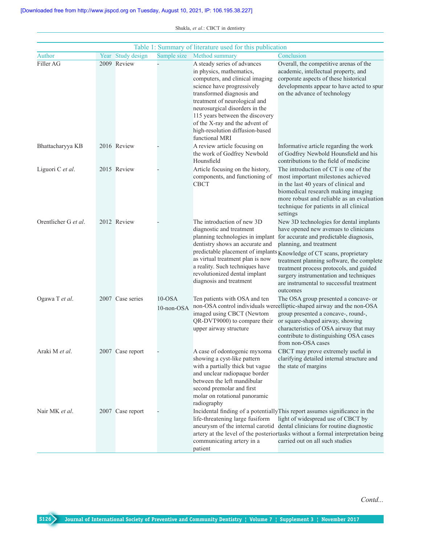| Table 1: Summary of literature used for this publication |  |                   |                         |                                                                                                                                                                                                                                                                                                                                                    |                                                                                                                                                                                                                                                                                                                                                                                                                                                           |
|----------------------------------------------------------|--|-------------------|-------------------------|----------------------------------------------------------------------------------------------------------------------------------------------------------------------------------------------------------------------------------------------------------------------------------------------------------------------------------------------------|-----------------------------------------------------------------------------------------------------------------------------------------------------------------------------------------------------------------------------------------------------------------------------------------------------------------------------------------------------------------------------------------------------------------------------------------------------------|
| Author                                                   |  | Year Study design | Sample size             | Method summary                                                                                                                                                                                                                                                                                                                                     | Conclusion                                                                                                                                                                                                                                                                                                                                                                                                                                                |
| Filler AG                                                |  | 2009 Review       |                         | A steady series of advances<br>in physics, mathematics,<br>computers, and clinical imaging<br>science have progressively<br>transformed diagnosis and<br>treatment of neurological and<br>neurosurgical disorders in the<br>115 years between the discovery<br>of the X-ray and the advent of<br>high-resolution diffusion-based<br>functional MRI | Overall, the competitive arenas of the<br>academic, intellectual property, and<br>corporate aspects of these historical<br>developments appear to have acted to spur<br>on the advance of technology                                                                                                                                                                                                                                                      |
| Bhattacharyya KB                                         |  | 2016 Review       |                         | A review article focusing on<br>the work of Godfrey Newbold<br>Hounsfield                                                                                                                                                                                                                                                                          | Informative article regarding the work<br>of Godfrey Newbold Hounsfield and his<br>contributions to the field of medicine                                                                                                                                                                                                                                                                                                                                 |
| Liguori C et al.                                         |  | 2015 Review       |                         | Article focusing on the history,<br>components, and functioning of<br><b>CBCT</b>                                                                                                                                                                                                                                                                  | The introduction of CT is one of the<br>most important milestones achieved<br>in the last 40 years of clinical and<br>biomedical research making imaging<br>more robust and reliable as an evaluation<br>technique for patients in all clinical<br>settings                                                                                                                                                                                               |
| Orentlicher G et al.                                     |  | 2012 Review       |                         | The introduction of new 3D<br>diagnostic and treatment<br>dentistry shows an accurate and<br>as virtual treatment plan is now<br>a reality. Such techniques have<br>revolutionized dental implant<br>diagnosis and treatment                                                                                                                       | New 3D technologies for dental implants<br>have opened new avenues to clinicians<br>planning technologies in implant for accurate and predictable diagnosis,<br>planning, and treatment<br>predictable placement of implants Knowledge of CT scans, proprietary<br>treatment planning software, the complete<br>treatment process protocols, and guided<br>surgery instrumentation and techniques<br>are instrumental to successful treatment<br>outcomes |
| Ogawa T et al.                                           |  | 2007 Case series  | $10$ -OSA<br>10-non-OSA | Ten patients with OSA and ten<br>imaged using CBCT (Newtom<br>QR-DVT9000) to compare their<br>upper airway structure                                                                                                                                                                                                                               | The OSA group presented a concave- or<br>non-OSA control individuals wereelliptic-shaped airway and the non-OSA<br>group presented a concave-, round-,<br>or square-shaped airway, showing<br>characteristics of OSA airway that may<br>contribute to distinguishing OSA cases<br>from non-OSA cases                                                                                                                                                      |
| Araki M et al.                                           |  | 2007 Case report  |                         | A case of odontogenic myxoma<br>showing a cyst-like pattern<br>with a partially thick but vague<br>and unclear radiopaque border<br>between the left mandibular<br>second premolar and first<br>molar on rotational panoramic<br>radiography                                                                                                       | CBCT may prove extremely useful in<br>clarifying detailed internal structure and<br>the state of margins                                                                                                                                                                                                                                                                                                                                                  |
| Nair MK et al.                                           |  | 2007 Case report  |                         | life-threatening large fusiform<br>communicating artery in a<br>patient                                                                                                                                                                                                                                                                            | Incidental finding of a potentially This report assumes significance in the<br>light of widespread use of CBCT by<br>aneurysm of the internal carotid dental clinicians for routine diagnostic<br>artery at the level of the posteriortasks without a formal interpretation being<br>carried out on all such studies                                                                                                                                      |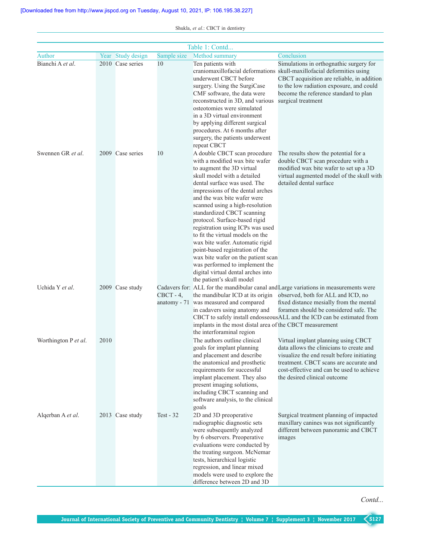|                      | Table 1: Contd |                   |              |                                                                                                                                                                                                                                                                                                                                                                                                                                                                                                                                                                                                            |                                                                                                                                                                                                                                                                                            |  |  |
|----------------------|----------------|-------------------|--------------|------------------------------------------------------------------------------------------------------------------------------------------------------------------------------------------------------------------------------------------------------------------------------------------------------------------------------------------------------------------------------------------------------------------------------------------------------------------------------------------------------------------------------------------------------------------------------------------------------------|--------------------------------------------------------------------------------------------------------------------------------------------------------------------------------------------------------------------------------------------------------------------------------------------|--|--|
| Author               |                | Year Study design | Sample size  | Method summary                                                                                                                                                                                                                                                                                                                                                                                                                                                                                                                                                                                             | Conclusion                                                                                                                                                                                                                                                                                 |  |  |
| Bianchi A et al.     |                | 2010 Case series  | 10           | Ten patients with<br>underwent CBCT before<br>surgery. Using the SurgiCase<br>CMF software, the data were<br>reconstructed in 3D, and various<br>osteotomies were simulated<br>in a 3D virtual environment<br>by applying different surgical<br>procedures. At 6 months after<br>surgery, the patients underwent                                                                                                                                                                                                                                                                                           | Simulations in orthognathic surgery for<br>craniomaxillofacial deformations skull-maxillofacial deformities using<br>CBCT acquisition are reliable, in addition<br>to the low radiation exposure, and could<br>become the reference standard to plan<br>surgical treatment                 |  |  |
| Swennen GR et al.    |                | 2009 Case series  | 10           | repeat CBCT<br>A double CBCT scan procedure<br>with a modified wax bite wafer<br>to augment the 3D virtual<br>skull model with a detailed<br>dental surface was used. The<br>impressions of the dental arches<br>and the wax bite wafer were<br>scanned using a high-resolution<br>standardized CBCT scanning<br>protocol. Surface-based rigid<br>registration using ICPs was used<br>to fit the virtual models on the<br>wax bite wafer. Automatic rigid<br>point-based registration of the<br>wax bite wafer on the patient scan<br>was performed to implement the<br>digital virtual dental arches into | The results show the potential for a<br>double CBCT scan procedure with a<br>modified wax bite wafer to set up a 3D<br>virtual augmented model of the skull with<br>detailed dental surface                                                                                                |  |  |
| Uchida Y et al.      |                | 2009 Case study   | $CBCT - 4$ , | the patient's skull model<br>the mandibular ICD at its origin<br>anatomy - 71 was measured and compared<br>in cadavers using anatomy and<br>implants in the most distal area of the CBCT measurement<br>the interforaminal region                                                                                                                                                                                                                                                                                                                                                                          | Cadavers for: ALL for the mandibular canal and Large variations in measurements were<br>observed, both for ALL and ICD, no<br>fixed distance mesially from the mental<br>foramen should be considered safe. The<br>CBCT to safely install endosseous ALL and the ICD can be estimated from |  |  |
| Worthington P et al. | 2010           |                   |              | The authors outline clinical<br>goals for implant planning<br>and placement and describe<br>the anatomical and prosthetic<br>requirements for successful<br>implant placement. They also<br>present imaging solutions,<br>including CBCT scanning and<br>software analysis, to the clinical<br>goals                                                                                                                                                                                                                                                                                                       | Virtual implant planning using CBCT<br>data allows the clinicians to create and<br>visualize the end result before initiating<br>treatment. CBCT scans are accurate and<br>cost-effective and can be used to achieve<br>the desired clinical outcome                                       |  |  |
| Algerban A et al.    |                | 2013 Case study   | Test - $32$  | 2D and 3D preoperative<br>radiographic diagnostic sets<br>were subsequently analyzed<br>by 6 observers. Preoperative<br>evaluations were conducted by<br>the treating surgeon. McNemar<br>tests, hierarchical logistic<br>regression, and linear mixed<br>models were used to explore the<br>difference between 2D and 3D                                                                                                                                                                                                                                                                                  | Surgical treatment planning of impacted<br>maxillary canines was not significantly<br>different between panoramic and CBCT<br>images                                                                                                                                                       |  |  |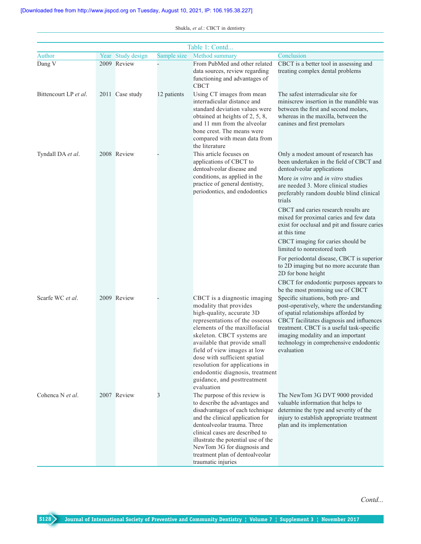|                       | Table 1: Contd |                   |             |                                                                                                                                                                                                                                                                                                                                                                                         |                                                                                                                                                                                                                                                                                                                |  |
|-----------------------|----------------|-------------------|-------------|-----------------------------------------------------------------------------------------------------------------------------------------------------------------------------------------------------------------------------------------------------------------------------------------------------------------------------------------------------------------------------------------|----------------------------------------------------------------------------------------------------------------------------------------------------------------------------------------------------------------------------------------------------------------------------------------------------------------|--|
| Author                |                | Year Study design | Sample size | Method summary                                                                                                                                                                                                                                                                                                                                                                          | Conclusion                                                                                                                                                                                                                                                                                                     |  |
| Dang V                |                | 2009 Review       |             | From PubMed and other related<br>data sources, review regarding<br>functioning and advantages of<br><b>CBCT</b>                                                                                                                                                                                                                                                                         | CBCT is a better tool in assessing and<br>treating complex dental problems                                                                                                                                                                                                                                     |  |
| Bittencourt LP et al. |                | 2011 Case study   | 12 patients | Using CT images from mean<br>interradicular distance and<br>standard deviation values were<br>obtained at heights of 2, 5, 8,<br>and 11 mm from the alveolar<br>bone crest. The means were<br>compared with mean data from<br>the literature                                                                                                                                            | The safest interradicular site for<br>miniscrew insertion in the mandible was<br>between the first and second molars.<br>whereas in the maxilla, between the<br>canines and first premolars                                                                                                                    |  |
| Tyndall DA et al.     |                | 2008 Review       |             | This article focuses on<br>applications of CBCT to<br>dentoalveolar disease and<br>conditions, as applied in the<br>practice of general dentistry,<br>periodontics, and endodontics                                                                                                                                                                                                     | Only a modest amount of research has<br>been undertaken in the field of CBCT and<br>dentoalveolar applications<br>More in vitro and in vitro studies<br>are needed 3. More clinical studies<br>preferably random double blind clinical<br>trials                                                               |  |
|                       |                |                   |             |                                                                                                                                                                                                                                                                                                                                                                                         | CBCT and caries research results are<br>mixed for proximal caries and few data<br>exist for occlusal and pit and fissure caries<br>at this time                                                                                                                                                                |  |
|                       |                |                   |             |                                                                                                                                                                                                                                                                                                                                                                                         | CBCT imaging for caries should be<br>limited to nonrestored teeth                                                                                                                                                                                                                                              |  |
|                       |                |                   |             |                                                                                                                                                                                                                                                                                                                                                                                         | For periodontal disease, CBCT is superior<br>to 2D imaging but no more accurate than<br>2D for bone height                                                                                                                                                                                                     |  |
|                       |                |                   |             |                                                                                                                                                                                                                                                                                                                                                                                         | CBCT for endodontic purposes appears to<br>be the most promising use of CBCT                                                                                                                                                                                                                                   |  |
| Scarfe WC et al.      |                | 2009 Review       |             | CBCT is a diagnostic imaging<br>modality that provides<br>high-quality, accurate 3D<br>representations of the osseous<br>elements of the maxillofacial<br>skeleton. CBCT systems are<br>available that provide small<br>field of view images at low<br>dose with sufficient spatial<br>resolution for applications in<br>endodontic diagnosis, treatment<br>guidance, and posttreatment | Specific situations, both pre- and<br>post-operatively, where the understanding<br>of spatial relationships afforded by<br>CBCT facilitates diagnosis and influences<br>treatment. CBCT is a useful task-specific<br>imaging modality and an important<br>technology in comprehensive endodontic<br>evaluation |  |
| Cohenca N et al.      |                | 2007 Review       | 3           | evaluation<br>The purpose of this review is<br>to describe the advantages and<br>disadvantages of each technique<br>and the clinical application for<br>dentoalveolar trauma. Three<br>clinical cases are described to<br>illustrate the potential use of the<br>NewTom 3G for diagnosis and<br>treatment plan of dentoalveolar<br>traumatic injuries                                   | The NewTom 3G DVT 9000 provided<br>valuable information that helps to<br>determine the type and severity of the<br>injury to establish appropriate treatment<br>plan and its implementation                                                                                                                    |  |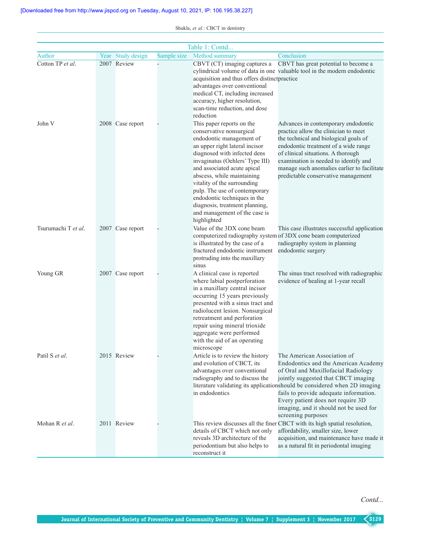|                     |                   |             | Table 1: Contd                                                                                                                                                                                                                                                                                                                                                                                                                        |                                                                                                                                                                                                                                                                                                                                                                               |
|---------------------|-------------------|-------------|---------------------------------------------------------------------------------------------------------------------------------------------------------------------------------------------------------------------------------------------------------------------------------------------------------------------------------------------------------------------------------------------------------------------------------------|-------------------------------------------------------------------------------------------------------------------------------------------------------------------------------------------------------------------------------------------------------------------------------------------------------------------------------------------------------------------------------|
| Author              | Year Study design | Sample size | Method summary                                                                                                                                                                                                                                                                                                                                                                                                                        | Conclusion                                                                                                                                                                                                                                                                                                                                                                    |
| Cotton TP et al.    | 2007 Review       |             | CBVT (CT) imaging captures a<br>acquisition and thus offers distinctpractice<br>advantages over conventional<br>medical CT, including increased<br>accuracy, higher resolution,<br>scan-time reduction, and dose<br>reduction                                                                                                                                                                                                         | CBVT has great potential to become a<br>cylindrical volume of data in one valuable tool in the modern endodontic                                                                                                                                                                                                                                                              |
| John V              | 2008 Case report  |             | This paper reports on the<br>conservative nonsurgical<br>endodontic management of<br>an upper right lateral incisor<br>diagnosed with infected dens<br>invaginatus (Oehlers' Type III)<br>and associated acute apical<br>abscess, while maintaining<br>vitality of the surrounding<br>pulp. The use of contemporary<br>endodontic techniques in the<br>diagnosis, treatment planning,<br>and management of the case is<br>highlighted | Advances in contemporary endodontic<br>practice allow the clinician to meet<br>the technical and biological goals of<br>endodontic treatment of a wide range<br>of clinical situations. A thorough<br>examination is needed to identify and<br>manage such anomalies earlier to facilitate<br>predictable conservative management                                             |
| Tsurumachi T et al. | 2007 Case report  |             | Value of the 3DX cone beam<br>is illustrated by the case of a<br>fractured endodontic instrument<br>protruding into the maxillary<br>sinus                                                                                                                                                                                                                                                                                            | This case illustrates successful application<br>computerized radiography system of 3DX cone beam computerized<br>radiography system in planning<br>endodontic surgery                                                                                                                                                                                                         |
| Young GR            | 2007 Case report  |             | A clinical case is reported<br>where labial postperforation<br>in a maxillary central incisor<br>occurring 15 years previously<br>presented with a sinus tract and<br>radiolucent lesion. Nonsurgical<br>retreatment and perforation<br>repair using mineral trioxide<br>aggregate were performed<br>with the aid of an operating<br>microscope                                                                                       | The sinus tract resolved with radiographic<br>evidence of healing at 1-year recall                                                                                                                                                                                                                                                                                            |
| Patil S et al.      | 2015 Review       |             | Article is to review the history<br>and evolution of CBCT, its<br>advantages over conventional<br>radiography and to discuss the<br>in endodontics                                                                                                                                                                                                                                                                                    | The American Association of<br>Endodontics and the American Academy<br>of Oral and Maxillofacial Radiology<br>jointly suggested that CBCT imaging<br>literature validating its applicationshould be considered when 2D imaging<br>fails to provide adequate information.<br>Every patient does not require 3D<br>imaging, and it should not be used for<br>screening purposes |
| Mohan R et al.      | 2011 Review       |             | details of CBCT which not only<br>reveals 3D architecture of the<br>periodontium but also helps to<br>reconstruct it                                                                                                                                                                                                                                                                                                                  | This review discusses all the finer CBCT with its high spatial resolution,<br>affordability, smaller size, lower<br>acquisition, and maintenance have made it<br>as a natural fit in periodontal imaging                                                                                                                                                                      |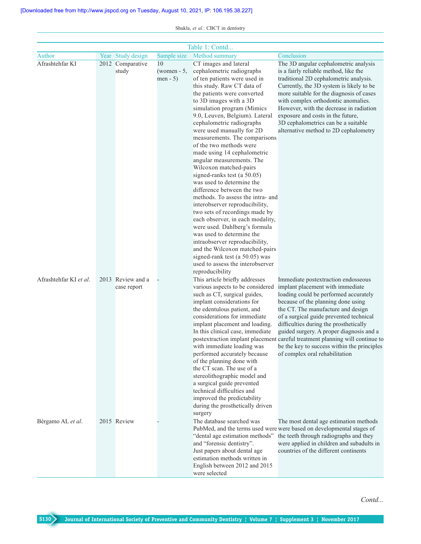|                        |                   |               | Table 1: Contd                                                   |                                                                              |
|------------------------|-------------------|---------------|------------------------------------------------------------------|------------------------------------------------------------------------------|
| Author                 | Year Study design | Sample size   | Method summary                                                   | Conclusion                                                                   |
| Afrashtehfar KI        | 2012 Comparative  | 10            | CT images and lateral                                            | The 3D angular cephalometric analysis                                        |
|                        | study             | $(women - 5,$ | cephalometric radiographs                                        | is a fairly reliable method, like the                                        |
|                        |                   | $men - 5)$    | of ten patients were used in                                     | traditional 2D cephalometric analysis.                                       |
|                        |                   |               | this study. Raw CT data of                                       | Currently, the 3D system is likely to be                                     |
|                        |                   |               | the patients were converted                                      | more suitable for the diagnosis of cases                                     |
|                        |                   |               | to 3D images with a 3D                                           | with complex orthodontic anomalies.                                          |
|                        |                   |               | simulation program (Mimics                                       | However, with the decrease in radiation                                      |
|                        |                   |               | 9.0, Leuven, Belgium). Lateral                                   | exposure and costs in the future,                                            |
|                        |                   |               | cephalometric radiographs                                        | 3D cephalometrics can be a suitable                                          |
|                        |                   |               | were used manually for 2D                                        | alternative method to 2D cephalometry                                        |
|                        |                   |               | measurements. The comparisons                                    |                                                                              |
|                        |                   |               | of the two methods were                                          |                                                                              |
|                        |                   |               | made using 14 cephalometric                                      |                                                                              |
|                        |                   |               | angular measurements. The<br>Wilcoxon matched-pairs              |                                                                              |
|                        |                   |               | signed-ranks test (a 50.05)                                      |                                                                              |
|                        |                   |               | was used to determine the                                        |                                                                              |
|                        |                   |               | difference between the two                                       |                                                                              |
|                        |                   |               | methods. To assess the intra- and                                |                                                                              |
|                        |                   |               | interobserver reproducibility,                                   |                                                                              |
|                        |                   |               | two sets of recordings made by                                   |                                                                              |
|                        |                   |               | each observer, in each modality,                                 |                                                                              |
|                        |                   |               | were used. Dahlberg's formula                                    |                                                                              |
|                        |                   |               | was used to determine the                                        |                                                                              |
|                        |                   |               | intraobserver reproducibility,                                   |                                                                              |
|                        |                   |               | and the Wilcoxon matched-pairs                                   |                                                                              |
|                        |                   |               | signed-rank test (a 50.05) was                                   |                                                                              |
|                        |                   |               | used to assess the interobserver                                 |                                                                              |
|                        |                   |               | reproducibility                                                  |                                                                              |
| Afrashtehfar KI et al. | 2013 Review and a |               | This article briefly addresses                                   | Immediate postextraction endosseous                                          |
|                        | case report       |               | various aspects to be considered<br>such as CT, surgical guides, | implant placement with immediate<br>loading could be performed accurately    |
|                        |                   |               | implant considerations for                                       | because of the planning done using                                           |
|                        |                   |               | the edentulous patient, and                                      | the CT. The manufacture and design                                           |
|                        |                   |               | considerations for immediate                                     | of a surgical guide prevented technical                                      |
|                        |                   |               | implant placement and loading.                                   | difficulties during the prosthetically                                       |
|                        |                   |               | In this clinical case, immediate                                 | guided surgery. A proper diagnosis and a                                     |
|                        |                   |               |                                                                  | postextraction implant placement careful treatment planning will continue to |
|                        |                   |               | with immediate loading was                                       | be the key to success within the principles                                  |
|                        |                   |               | performed accurately because                                     | of complex oral rehabilitation                                               |
|                        |                   |               | of the planning done with                                        |                                                                              |
|                        |                   |               | the CT scan. The use of a                                        |                                                                              |
|                        |                   |               | stereolithographic model and                                     |                                                                              |
|                        |                   |               | a surgical guide prevented<br>technical difficulties and         |                                                                              |
|                        |                   |               | improved the predictability                                      |                                                                              |
|                        |                   |               | during the prosthetically driven                                 |                                                                              |
|                        |                   |               | surgery                                                          |                                                                              |
| Bérgamo AL et al.      | 2015 Review       |               | The database searched was                                        | The most dental age estimation methods                                       |
|                        |                   |               |                                                                  | PubMed, and the terms used were were based on developmental stages of        |
|                        |                   |               | "dental age estimation methods"                                  | the teeth through radiographs and they                                       |
|                        |                   |               | and "forensic dentistry".                                        | were applied in children and subadults in                                    |
|                        |                   |               | Just papers about dental age                                     | countries of the different continents                                        |
|                        |                   |               | estimation methods written in                                    |                                                                              |
|                        |                   |               | English between 2012 and 2015                                    |                                                                              |
|                        |                   |               | were selected                                                    |                                                                              |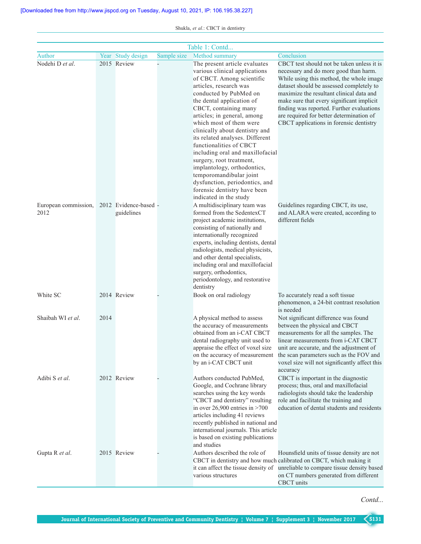|                              |      |                                     |             | Table 1: Contd                                                                                                                                                                                                                                                                                                                                                                                                                                                                                                                                              |                                                                                                                                                                                                                                                                                                                                                                                                          |
|------------------------------|------|-------------------------------------|-------------|-------------------------------------------------------------------------------------------------------------------------------------------------------------------------------------------------------------------------------------------------------------------------------------------------------------------------------------------------------------------------------------------------------------------------------------------------------------------------------------------------------------------------------------------------------------|----------------------------------------------------------------------------------------------------------------------------------------------------------------------------------------------------------------------------------------------------------------------------------------------------------------------------------------------------------------------------------------------------------|
| Author                       |      | Year Study design                   | Sample size | Method summary                                                                                                                                                                                                                                                                                                                                                                                                                                                                                                                                              | Conclusion                                                                                                                                                                                                                                                                                                                                                                                               |
| Nodehi D et al.              |      | 2015 Review                         |             | The present article evaluates<br>various clinical applications<br>of CBCT. Among scientific<br>articles, research was<br>conducted by PubMed on<br>the dental application of<br>CBCT, containing many<br>articles; in general, among<br>which most of them were<br>clinically about dentistry and<br>its related analyses. Different<br>functionalities of CBCT<br>including oral and maxillofacial<br>surgery, root treatment,<br>implantology, orthodontics,<br>temporomandibular joint<br>dysfunction, periodontics, and<br>forensic dentistry have been | CBCT test should not be taken unless it is<br>necessary and do more good than harm.<br>While using this method, the whole image<br>dataset should be assessed completely to<br>maximize the resultant clinical data and<br>make sure that every significant implicit<br>finding was reported. Further evaluations<br>are required for better determination of<br>CBCT applications in forensic dentistry |
| European commission,<br>2012 |      | 2012 Evidence-based -<br>guidelines |             | indicated in the study<br>A multidisciplinary team was<br>formed from the SedentexCT<br>project academic institutions,<br>consisting of nationally and<br>internationally recognized<br>experts, including dentists, dental<br>radiologists, medical physicists,<br>and other dental specialists,<br>including oral and maxillofacial<br>surgery, orthodontics,<br>periodontology, and restorative<br>dentistry                                                                                                                                             | Guidelines regarding CBCT, its use,<br>and ALARA were created, according to<br>different fields                                                                                                                                                                                                                                                                                                          |
| White SC                     |      | 2014 Review                         |             | Book on oral radiology                                                                                                                                                                                                                                                                                                                                                                                                                                                                                                                                      | To accurately read a soft tissue<br>phenomenon, a 24-bit contrast resolution<br>is needed                                                                                                                                                                                                                                                                                                                |
| Shaibah WI et al.            | 2014 |                                     |             | A physical method to assess<br>the accuracy of measurements<br>obtained from an i-CAT CBCT<br>dental radiography unit used to<br>by an i-CAT CBCT unit                                                                                                                                                                                                                                                                                                                                                                                                      | Not significant difference was found<br>between the physical and CBCT<br>measurements for all the samples. The<br>linear measurements from i-CAT CBCT<br>appraise the effect of voxel size unit are accurate, and the adjustment of<br>on the accuracy of measurement the scan parameters such as the FOV and<br>voxel size will not significantly affect this<br>accuracy                               |
| Adibi S et al.               |      | 2012 Review                         |             | Authors conducted PubMed,<br>Google, and Cochrane library<br>searches using the key words<br>"CBCT and dentistry" resulting<br>in over $26,900$ entries in $>700$<br>articles including 41 reviews<br>recently published in national and<br>international journals. This article<br>is based on existing publications<br>and studies                                                                                                                                                                                                                        | CBCT is important in the diagnostic<br>process; thus, oral and maxillofacial<br>radiologists should take the leadership<br>role and facilitate the training and<br>education of dental students and residents                                                                                                                                                                                            |
| Gupta R et al.               |      | 2015 Review                         |             | Authors described the role of<br>various structures                                                                                                                                                                                                                                                                                                                                                                                                                                                                                                         | Hounsfield units of tissue density are not<br>CBCT in dentistry and how much calibrated on CBCT, which making it<br>it can affect the tissue density of unreliable to compare tissue density based<br>on CT numbers generated from different<br><b>CBCT</b> units                                                                                                                                        |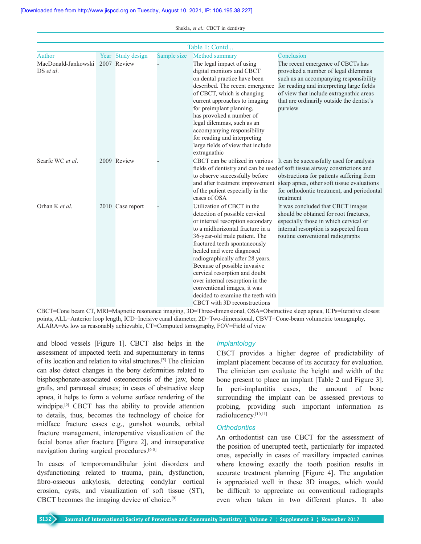| Table 1: Contd                   |  |                   |             |                                                                                                                                                                                                                                                                                                                                                                                                                                                                                 |                                                                                                                                                                                                                                                                                                              |
|----------------------------------|--|-------------------|-------------|---------------------------------------------------------------------------------------------------------------------------------------------------------------------------------------------------------------------------------------------------------------------------------------------------------------------------------------------------------------------------------------------------------------------------------------------------------------------------------|--------------------------------------------------------------------------------------------------------------------------------------------------------------------------------------------------------------------------------------------------------------------------------------------------------------|
| Author                           |  | Year Study design | Sample size | Method summary                                                                                                                                                                                                                                                                                                                                                                                                                                                                  | Conclusion                                                                                                                                                                                                                                                                                                   |
| MacDonald-Jankowski<br>DS et al. |  | 2007 Review       |             | The legal impact of using<br>digital monitors and CBCT<br>on dental practice have been<br>described. The recent emergence<br>of CBCT, which is changing<br>current approaches to imaging<br>for preimplant planning,<br>has provoked a number of<br>legal dilemmas, such as an<br>accompanying responsibility<br>for reading and interpreting<br>large fields of view that include                                                                                              | The recent emergence of CBCTs has<br>provoked a number of legal dilemmas<br>such as an accompanying responsibility<br>for reading and interpreting large fields<br>of view that include extragnathic areas<br>that are ordinarily outside the dentist's<br>purview                                           |
| Scarfe WC et al.                 |  | 2009 Review       |             | extragnathic<br>to observe successfully before<br>and after treatment improvement<br>of the patient especially in the<br>cases of OSA                                                                                                                                                                                                                                                                                                                                           | CBCT can be utilized in various It can be successfully used for analysis<br>fields of dentistry and can be used of soft tissue airway constrictions and<br>obstructions for patients suffering from<br>sleep apnea, other soft tissue evaluations<br>for orthodontic treatment, and periodontal<br>treatment |
| Orhan K et al.                   |  | 2010 Case report  |             | Utilization of CBCT in the<br>detection of possible cervical<br>or internal resorption secondary<br>to a midhorizontal fracture in a<br>36-year-old male patient. The<br>fractured teeth spontaneously<br>healed and were diagnosed<br>radiographically after 28 years.<br>Because of possible invasive<br>cervical resorption and doubt<br>over internal resorption in the<br>conventional images, it was<br>decided to examine the teeth with<br>CBCT with 3D reconstructions | It was concluded that CBCT images<br>should be obtained for root fractures,<br>especially those in which cervical or<br>internal resorption is suspected from<br>routine conventional radiographs                                                                                                            |

CBCT=Cone beam CT, MRI=Magnetic resonance imaging, 3D=Three‑dimensional, OSA=Obstructive sleep apnea, ICPs=Iterative closest points, ALL=Anterior loop length, ICD=Incisive canal diameter, 2D=Two-dimensional, CBVT=Cone-beam volumetric tomography, ALARA=As low as reasonably achievable, CT=Computed tomography, FOV=Field of view

and blood vessels [Figure 1]. CBCT also helps in the assessment of impacted teeth and supernumerary in terms of its location and relation to vital structures.[5] The clinician can also detect changes in the bony deformities related to bisphosphonate-associated osteonecrosis of the jaw, bone grafts, and paranasal sinuses; in cases of obstructive sleep apnea, it helps to form a volume surface rendering of the windpipe.<sup>[5]</sup> CBCT has the ability to provide attention to details, thus, becomes the technology of choice for midface fracture cases e.g., gunshot wounds, orbital fracture management, interoperative visualization of the facial bones after fracture [Figure 2], and intraoperative navigation during surgical procedures.<sup>[6-8]</sup>

In cases of temporomandibular joint disorders and dysfunctioning related to trauma, pain, dysfunction, fibro‑osseous ankylosis, detecting condylar cortical erosion, cysts, and visualization of soft tissue (ST), CBCT becomes the imaging device of choice.[9]

## *Implantology*

CBCT provides a higher degree of predictability of implant placement because of its accuracy for evaluation. The clinician can evaluate the height and width of the bone present to place an implant [Table 2 and Figure 3]. In peri-implantitis cases, the amount of bone surrounding the implant can be assessed previous to probing, providing such important information as radiolucency.[10,11]

## *Orthodontics*

An orthodontist can use CBCT for the assessment of the position of unerupted teeth, particularly for impacted ones, especially in cases of maxillary impacted canines where knowing exactly the tooth position results in accurate treatment planning [Figure 4]. The angulation is appreciated well in these 3D images, which would be difficult to appreciate on conventional radiographs even when taken in two different planes. It also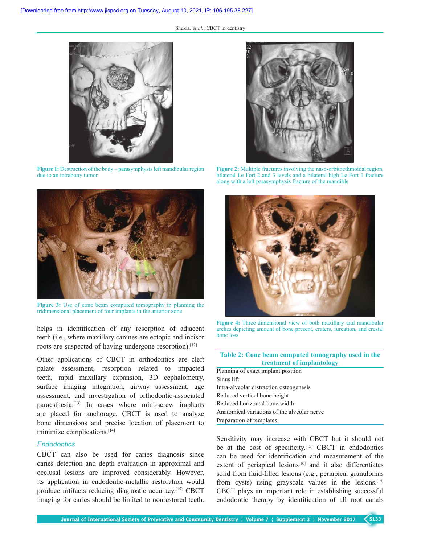

**Figure 1:** Destruction of the body – parasymphysis left mandibular region due to an intrabony tumor



**Figure 3:** Use of cone beam computed tomography in planning the tridimensional placement of four implants in the anterior zone

helps in identification of any resorption of adjacent teeth (i.e., where maxillary canines are ectopic and incisor roots are suspected of having undergone resorption).<sup>[12]</sup>

Other applications of CBCT in orthodontics are cleft palate assessment, resorption related to impacted teeth, rapid maxillary expansion, 3D cephalometry, surface imaging integration, airway assessment, age assessment, and investigation of orthodontic‑associated paraesthesia.<sup>[13]</sup> In cases where mini-screw implants are placed for anchorage, CBCT is used to analyze bone dimensions and precise location of placement to minimize complications.[14]

#### *Endodontics*

CBCT can also be used for caries diagnosis since caries detection and depth evaluation in approximal and occlusal lesions are improved considerably. However, its application in endodontic-metallic restoration would produce artifacts reducing diagnostic accuracy.[15] CBCT imaging for caries should be limited to nonrestored teeth.



Figure 2: Multiple fractures involving the naso-orbitoethmoidal region, bilateral Le Fort 2 and 3 levels and a bilateral high Le Fort 1 fracture along with a left parasymphysis fracture of the mandible



**Figure 4:** Three-dimensional view of both maxillary and mandibular arches depicting amount of bone present, craters, furcation, and crestal bone loss

## **Table 2: Cone beam computed tomography used in the treatment of implantology**

Planning of exact implant position Sinus lift Intra‑alveolar distraction osteogenesis Reduced vertical bone height Reduced horizontal bone width Anatomical variations of the alveolar nerve Preparation of templates

Sensitivity may increase with CBCT but it should not be at the cost of specificity.<sup>[15]</sup> CBCT in endodontics can be used for identification and measurement of the extent of periapical lesions<sup>[16]</sup> and it also differentiates solid from fluid-filled lesions (e.g., periapical granulomas from cysts) using grayscale values in the lesions.[15] CBCT plays an important role in establishing successful endodontic therapy by identification of all root canals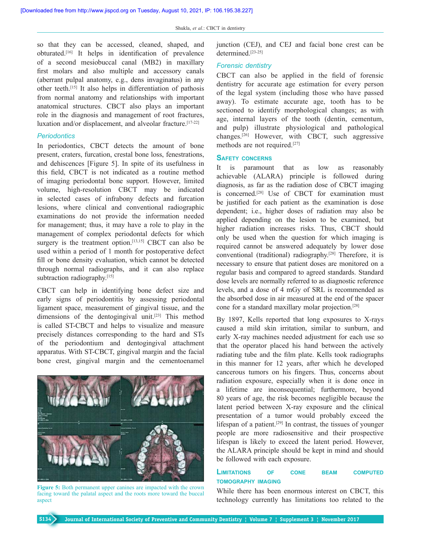so that they can be accessed, cleaned, shaped, and obturated.[16] It helps in identification of prevalence of a second mesiobuccal canal (MB2) in maxillary first molars and also multiple and accessory canals (aberrant pulpal anatomy, e.g., dens invaginatus) in any other teeth.[15] It also helps in differentiation of pathosis from normal anatomy and relationships with important anatomical structures. CBCT also plays an important role in the diagnosis and management of root fractures, luxation and/or displacement, and alveolar fracture.[17‑22]

#### *Periodontics*

In periodontics, CBCT detects the amount of bone present, craters, furcation, crestal bone loss, fenestrations, and dehiscences [Figure 5]. In spite of its usefulness in this field, CBCT is not indicated as a routine method of imaging periodontal bone support. However, limited volume, high-resolution CBCT may be indicated in selected cases of infrabony defects and furcation lesions, where clinical and conventional radiographic examinations do not provide the information needed for management; thus, it may have a role to play in the management of complex periodontal defects for which surgery is the treatment option.<sup>[13,15]</sup> CBCT can also be used within a period of 1 month for postoperative defect fill or bone density evaluation, which cannot be detected through normal radiographs, and it can also replace subtraction radiography.<sup>[15]</sup>

CBCT can help in identifying bone defect size and early signs of periodontitis by assessing periodontal ligament space, measurement of gingival tissue, and the dimensions of the dentogingival unit.<sup>[23]</sup> This method is called ST‑CBCT and helps to visualize and measure precisely distances corresponding to the hard and STs of the periodontium and dentogingival attachment apparatus. With ST‑CBCT, gingival margin and the facial bone crest, gingival margin and the cementoenamel



**Figure 5:** Both permanent upper canines are impacted with the crown facing toward the palatal aspect and the roots more toward the buccal aspect

junction (CEJ), and CEJ and facial bone crest can be determined.<sup>[23-25]</sup>

#### *Forensic dentistry*

CBCT can also be applied in the field of forensic dentistry for accurate age estimation for every person of the legal system (including those who have passed away). To estimate accurate age, tooth has to be sectioned to identify morphological changes; as with age, internal layers of the tooth (dentin, cementum, and pulp) illustrate physiological and pathological changes.[26] However, with CBCT, such aggressive methods are not required.<sup>[27]</sup>

#### **sAfety concerns**

It is paramount that as low as reasonably achievable (ALARA) principle is followed during diagnosis, as far as the radiation dose of CBCT imaging is concerned.<sup>[28]</sup> Use of CBCT for examination must be justified for each patient as the examination is dose dependent; i.e., higher doses of radiation may also be applied depending on the lesion to be examined, but higher radiation increases risks. Thus, CBCT should only be used when the question for which imaging is required cannot be answered adequately by lower dose conventional (traditional) radiography.[28] Therefore, it is necessary to ensure that patient doses are monitored on a regular basis and compared to agreed standards. Standard dose levels are normally referred to as diagnostic reference levels, and a dose of 4 mGy of SRL is recommended as the absorbed dose in air measured at the end of the spacer cone for a standard maxillary molar projection.[28]

By 1897, Kells reported that long exposures to X-rays caused a mild skin irritation, similar to sunburn, and early X‑ray machines needed adjustment for each use so that the operator placed his hand between the actively radiating tube and the film plate. Kells took radiographs in this manner for 12 years, after which he developed cancerous tumors on his fingers. Thus, concerns about radiation exposure, especially when it is done once in a lifetime are inconsequential; furthermore, beyond 80 years of age, the risk becomes negligible because the latent period between X-ray exposure and the clinical presentation of a tumor would probably exceed the lifespan of a patient.<sup>[29]</sup> In contrast, the tissues of younger people are more radiosensitive and their prospective lifespan is likely to exceed the latent period. However, the ALARA principle should be kept in mind and should be followed with each exposure.

## **limitAtions of cone beAm computed tomogrAphy imAging**

While there has been enormous interest on CBCT, this technology currently has limitations too related to the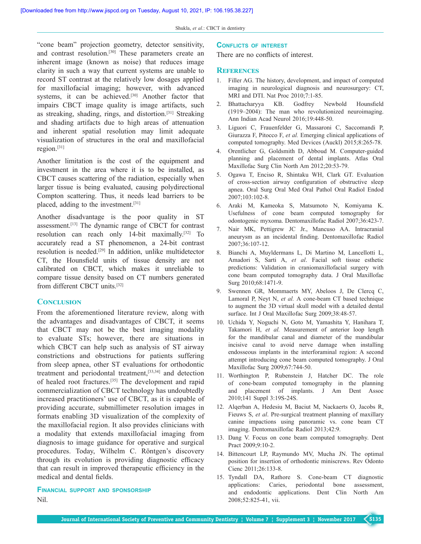"cone beam" projection geometry, detector sensitivity, and contrast resolution.<sup>[30]</sup> These parameters create an inherent image (known as noise) that reduces image clarity in such a way that current systems are unable to record ST contrast at the relatively low dosages applied for maxillofacial imaging; however, with advanced systems, it can be achieved.<sup>[30]</sup> Another factor that impairs CBCT image quality is image artifacts, such as streaking, shading, rings, and distortion.[31] Streaking and shading artifacts due to high areas of attenuation and inherent spatial resolution may limit adequate visualization of structures in the oral and maxillofacial region.[31]

Another limitation is the cost of the equipment and investment in the area where it is to be installed, as CBCT causes scattering of the radiation, especially when larger tissue is being evaluated, causing polydirectional Compton scattering. Thus, it needs lead barriers to be placed, adding to the investment.[31]

Another disadvantage is the poor quality in ST assessment.[13] The dynamic range of CBCT for contrast resolution can reach only 14-bit maximally.<sup>[32]</sup> To accurately read a ST phenomenon, a 24‑bit contrast resolution is needed.[29] In addition, unlike multidetector CT, the Hounsfield units of tissue density are not calibrated on CBCT, which makes it unreliable to compare tissue density based on CT numbers generated from different CBCT units.[32]

## **Conclusion**

From the aforementioned literature review, along with the advantages and disadvantages of CBCT, it seems that CBCT may not be the best imaging modality to evaluate STs; however, there are situations in which CBCT can help such as analysis of ST airway constrictions and obstructions for patients suffering from sleep apnea, other ST evaluations for orthodontic treatment and periodontal treatment,<sup>[33,34]</sup> and detection of healed root fractures.[35] The development and rapid commercialization of CBCT technology has undoubtedly increased practitioners' use of CBCT, as it is capable of providing accurate, submillimeter resolution images in formats enabling 3D visualization of the complexity of the maxillofacial region. It also provides clinicians with a modality that extends maxillofacial imaging from diagnosis to image guidance for operative and surgical procedures. Today, Wilhelm C. Röntgen's discovery through its evolution is providing diagnostic efficacy that can result in improved therapeutic efficiency in the medical and dental fields.

**finAnciAl support And sponsorship** Nil.

#### **conflicts of interest**

There are no conflicts of interest.

#### **References**

- 1. Filler AG. The history, development, and impact of computed imaging in neurological diagnosis and neurosurgery: CT, MRI and DTI. Nat Proc 2010;7:1‑85.
- 2. Bhattacharyya KB. Godfrey Newbold Hounsfield (1919–2004): The man who revolutionized neuroimaging. Ann Indian Acad Neurol 2016;19:448‑50.
- 3. Liguori C, Frauenfelder G, Massaroni C, Saccomandi P, Giurazza F, Pitocco F, *et al.* Emerging clinical applications of computed tomography. Med Devices (Auckl) 2015;8:265‑78.
- 4. Orentlicher G, Goldsmith D, Abboud M. Computer‑guided planning and placement of dental implants. Atlas Oral Maxillofac Surg Clin North Am 2012;20:53‑79.
- 5. Ogawa T, Enciso R, Shintaku WH, Clark GT. Evaluation of cross‑section airway configuration of obstructive sleep apnea. Oral Surg Oral Med Oral Pathol Oral Radiol Endod 2007;103:102‑8.
- 6. Araki M, Kameoka S, Matsumoto N, Komiyama K. Usefulness of cone beam computed tomography for odontogenic myxoma. Dentomaxillofac Radiol 2007;36:423‑7.
- 7. Nair MK, Pettigrew JC Jr., Mancuso AA. Intracranial aneurysm as an incidental finding. Dentomaxillofac Radiol 2007;36:107‑12.
- 8. Bianchi A, Muyldermans L, Di Martino M, Lancellotti L, Amadori S, Sarti A, *et al*. Facial soft tissue esthetic predictions: Validation in craniomaxillofacial surgery with cone beam computed tomography data. J Oral Maxillofac Surg 2010;68:1471‑9.
- 9. Swennen GR, Mommaerts MY, Abeloos J, De Clercq C, Lamoral P, Neyt N, et al. A cone-beam CT based technique to augment the 3D virtual skull model with a detailed dental surface. Int J Oral Maxillofac Surg 2009;38:48-57.
- 10. Uchida Y, Noguchi N, Goto M, Yamashita Y, Hanihara T, Takamori H, *et al.* Measurement of anterior loop length for the mandibular canal and diameter of the mandibular incisive canal to avoid nerve damage when installing endosseous implants in the interforaminal region: A second attempt introducing cone beam computed tomography. J Oral Maxillofac Surg 2009;67:744‑50.
- 11. Worthington P, Rubenstein J, Hatcher DC. The role of cone‑beam computed tomography in the planning and placement of implants. J Am Dent Assoc 2010;141 Suppl 3:19S‑24S.
- 12. Alqerban A, Hedesiu M, Baciut M, Nackaerts O, Jacobs R, Fieuws S, *et al*. Pre‑surgical treatment planning of maxillary canine impactions using panoramic vs. cone beam CT imaging. Dentomaxillofac Radiol 2013;42:9.
- 13. Dang V. Focus on cone beam computed tomography. Dent Pract 2009;9:10-2.
- 14. Bittencourt LP, Raymundo MV, Mucha JN. The optimal position for insertion of orthodontic miniscrews. Rev Odonto Cienc 2011;26:133‑8.
- 15. Tyndall DA, Rathore S. Cone-beam CT diagnostic applications: Caries, periodontal bone assessment, and endodontic applications. Dent Clin North Am 2008;52:825‑41, vii.